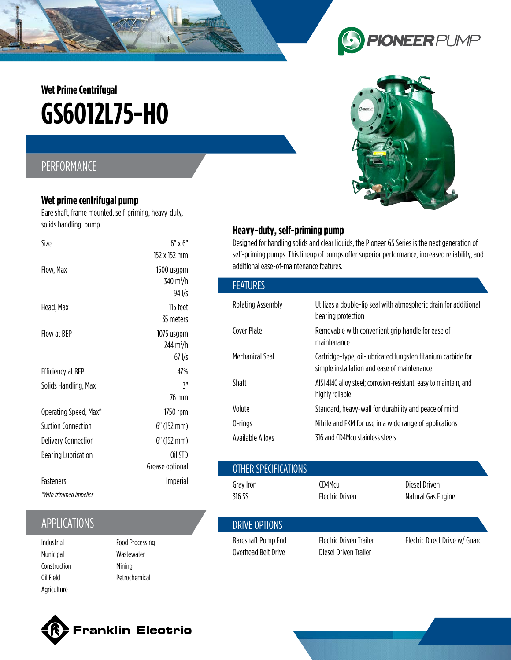# **GS6O12L75-HO Wet Prime Centrifugal**

## PERFORMANCE

#### **Wet prime centrifugal pump**

Bare shaft, frame mounted, self-priming, heavy-duty, solids handling pump

| Size                       | $6"$ x $6"$<br>152 x 152 mm                               |
|----------------------------|-----------------------------------------------------------|
| Flow, Max                  | 1500 usgpm<br>$340 \,\mathrm{m}^3/\mathrm{h}$<br>$94$ I/s |
| Head, Max                  | 115 feet<br>35 meters                                     |
| Flow at BFP                | 1075 usgpm<br>$244 \text{ m}^3/\text{h}$<br>$67$ I/s      |
| <b>Efficiency at BEP</b>   | 47%                                                       |
| Solids Handling, Max       | ζ"                                                        |
|                            | 76 mm                                                     |
| Operating Speed, Max*      | 1750 rpm                                                  |
| Suction Connection         | 6" (152 mm)                                               |
| <b>Delivery Connection</b> | 6" (152 mm)                                               |
| <b>Bearing Lubrication</b> | Oil STD                                                   |
|                            | Grease optional                                           |
| Fasteners                  | <b>Imperial</b>                                           |
| *With trimmed impeller     |                                                           |

## APPLICATIONS

- Municipal Construction Oil Field Agriculture
- Food Processing Wastewater Mining Petrochemical

## $\bigodot$ **PIONEERPUMP**



#### **Heavy-duty, self-priming pump**

Designed for handling solids and clear liquids, the Pioneer GS Series is the next generation of self-priming pumps. This lineup of pumps offer superior performance, increased reliability, and additional ease-of-maintenance features.

| <b>FEATURES</b>          |                                                                                                             |
|--------------------------|-------------------------------------------------------------------------------------------------------------|
| <b>Rotating Assembly</b> | Utilizes a double-lip seal with atmospheric drain for additional<br>bearing protection                      |
| Cover Plate              | Removable with convenient grip handle for ease of<br>maintenance                                            |
| Mechanical Seal          | Cartridge-type, oil-lubricated tungsten titanium carbide for<br>simple installation and ease of maintenance |
| Shaft                    | AISI 4140 alloy steel; corrosion-resistant, easy to maintain, and<br>highly reliable                        |
| Volute                   | Standard, heavy-wall for durability and peace of mind                                                       |
| 0-rings                  | Nitrile and FKM for use in a wide range of applications                                                     |
| Available Alloys         | 316 and CD4Mcu stainless steels                                                                             |

|                                     | Grease optional                             |                                           | OTHER SPECIFICATIONS                             |                                     |  |
|-------------------------------------|---------------------------------------------|-------------------------------------------|--------------------------------------------------|-------------------------------------|--|
| Fasteners<br>*With trimmed impeller | Imperial                                    | Gray Iron<br>316 SS                       | CD4Mcu<br><b>Electric Driven</b>                 | Diesel Driven<br>Natural Gas Engine |  |
| <b>APPLICATIONS</b>                 |                                             | DRIVE OPTIONS                             |                                                  |                                     |  |
| Industrial<br>Municinal             | <b>Food Processing</b><br><b>Wastowator</b> | Bareshaft Pump End<br>Overhead Belt Drive | Electric Driven Trailer<br>Diesel Driven Trailer | Electric Direct Drive w/ Guard      |  |